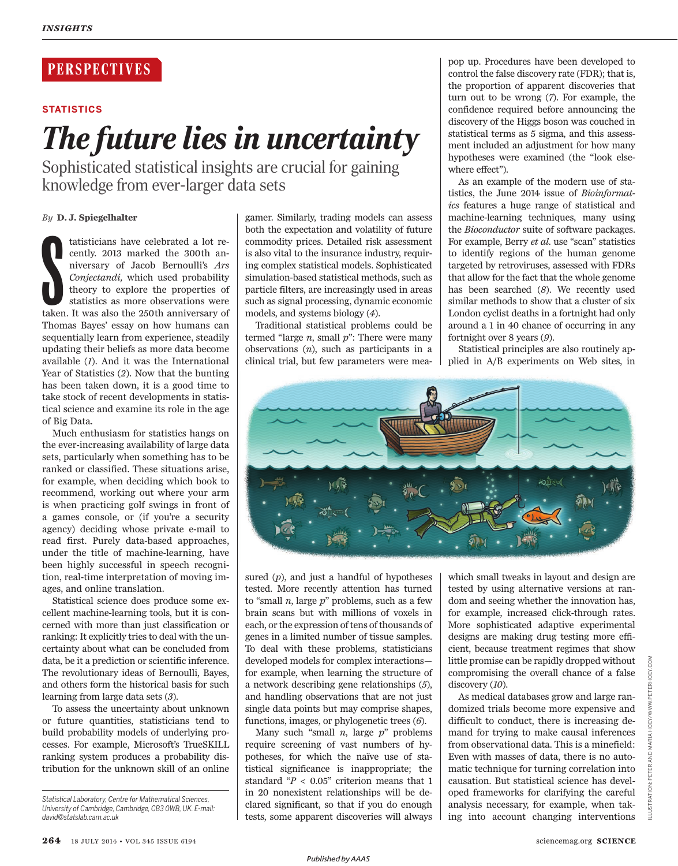## **PERSPECTIVES**

### **STATISTICS**

# *The future lies in uncertainty*

Sophisticated statistical insights are crucial for gaining knowledge from ever-larger data sets

### *By* **D. J. Spiegelhalter**

tatisticians have celebrated a lot recently. 2013 marked the 300th anniversary of Jacob Bernoulli's Ars Conjectandi, which used probability theory to explore the properties of statistics as more observations were taken. It tatisticians have celebrated a lot recently. 2013 marked the 300th anniversary of Jacob Bernoulli's *Ars Conjectandi,* which used probability theory to explore the properties of statistics as more observations were Thomas Bayes' essay on how humans can sequentially learn from experience, steadily updating their beliefs as more data become available (*1*). And it was the International Year of Statistics (2). Now that the bunting has been taken down, it is a good time to take stock of recent developments in statistical science and examine its role in the age of Big Data.

Much enthusiasm for statistics hangs on the ever-increasing availability of large data sets, particularly when something has to be ranked or classified. These situations arise, for example, when deciding which book to recommend, working out where your arm is when practicing golf swings in front of a games console, or (if you're a security agency) deciding whose private e-mail to read first. Purely data-based approaches, under the title of machine-learning, have been highly successful in speech recognition, real-time interpretation of moving images, and online translation.

Statistical science does produce some excellent machine-learning tools, but it is concerned with more than just classification or ranking: It explicitly tries to deal with the uncertainty about what can be concluded from data, be it a prediction or scientific inference. The revolutionary ideas of Bernoulli, Bayes, and others form the historical basis for such learning from large data sets (3).

To assess the uncertainty about unknown or future quantities, statisticians tend to build probability models of underlying processes. For example, Microsoft's TrueSKILL ranking system produces a probability distribution for the unknown skill of an online

gamer. Similarly, trading models can assess both the expectation and volatility of future commodity prices. Detailed risk assessment is also vital to the insurance industry, requiring complex statistical models. Sophisticated simulation-based statistical methods, such as particle filters, are increasingly used in areas such as signal processing, dynamic economic models, and systems biology (4).

Traditional statistical problems could be termed "large *n*, small *p*": There were many observations (*n*), such as participants in a clinical trial, but few parameters were mea-

pop up. Procedures have been developed to control the false discovery rate (FDR); that is, the proportion of apparent discoveries that turn out to be wrong (7). For example, the confidence required before announcing the discovery of the Higgs boson was couched in statistical terms as 5 sigma, and this assessment included an adjustment for how many hypotheses were examined (the "look elsewhere effect").

As an example of the modern use of statistics, the June 2014 issue of *Bioinformatics* features a huge range of statistical and machine-learning techniques, many using the *Bioconductor* suite of software packages. For example, Berry *et al*. use "scan" statistics to identify regions of the human genome targeted by retroviruses, assessed with FDRs that allow for the fact that the whole genome has been searched (8). We recently used similar methods to show that a cluster of six London cyclist deaths in a fortnight had only around a 1 in 40 chance of occurring in any fortnight over 8 years (9).

Statistical principles are also routinely applied in A/B experiments on Web sites, in



sured (*p*), and just a handful of hypotheses tested. More recently attention has turned to "small *n*, large *p*" problems, such as a few brain scans but with millions of voxels in each, or the expression of tens of thousands of genes in a limited number of tissue samples. To deal with these problems, statisticians developed models for complex interactions for example, when learning the structure of a network describing gene relationships (5), and handling observations that are not just single data points but may comprise shapes, functions, images, or phylogenetic trees (6).

Many such "small *n*, large *p*" problems require screening of vast numbers of hypotheses, for which the naïve use of statistical significance is inappropriate; the standard "*P* < 0.05" criterion means that 1 in 20 nonexistent relationships will be declared significant, so that if you do enough tests, some apparent discoveries will always

which small tweaks in layout and design are tested by using alternative versions at random and seeing whether the innovation has, for example, increased click-through rates. More sophisticated adaptive experimental designs are making drug testing more efficient, because treatment regimes that show little promise can be rapidly dropped without compromising the overall chance of a false discovery (10).

As medical databases grow and large randomized trials become more expensive and difficult to conduct, there is increasing demand for trying to make causal inferences from observational data. This is a minefield: Even with masses of data, there is no automatic technique for turning correlation into causation. But statistical science has developed frameworks for clarifying the careful analysis necessary, for example, when taking into account changing interventions

*Statistical Laboratory, Centre for Mathematical Sciences, University of Cambridge, Cambridge, CB3 0WB, UK. E-mail: david@statslab.cam.ac.uk*